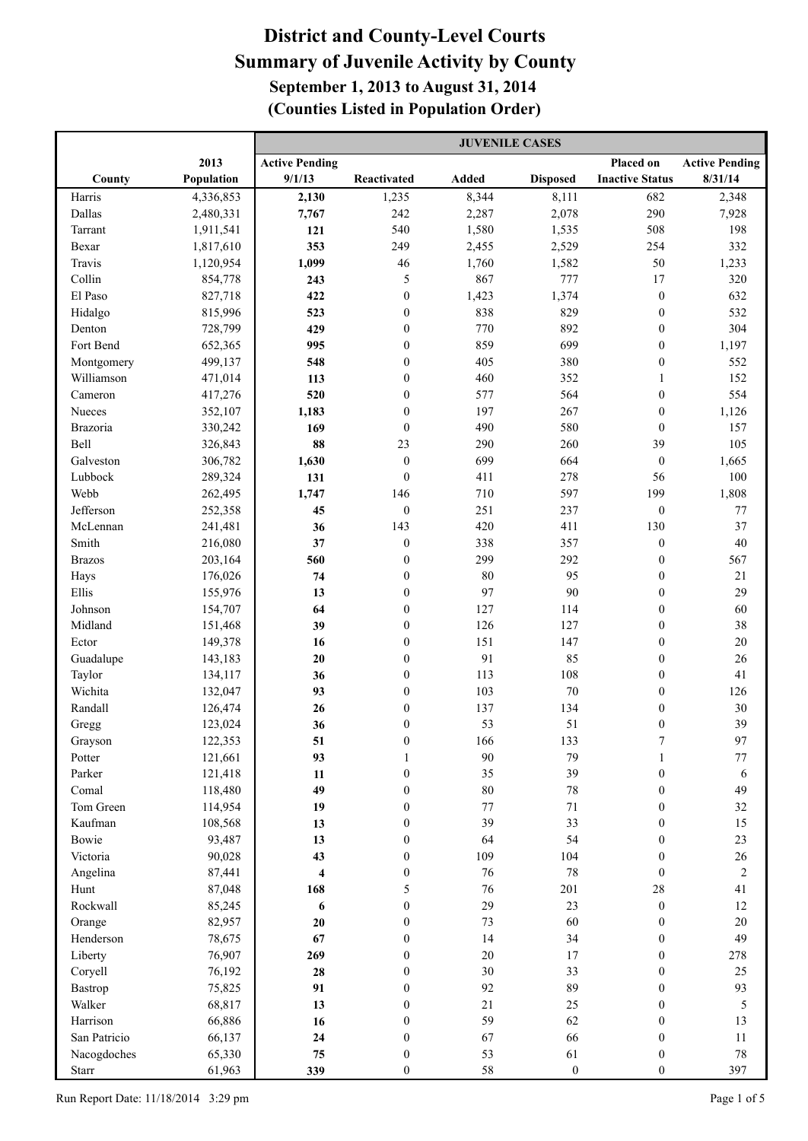|               |            | <b>JUVENILE CASES</b> |                  |        |                  |                        |                       |
|---------------|------------|-----------------------|------------------|--------|------------------|------------------------|-----------------------|
|               | 2013       | <b>Active Pending</b> |                  |        |                  | Placed on              | <b>Active Pending</b> |
| County        | Population | 9/1/13                | Reactivated      | Added  | <b>Disposed</b>  | <b>Inactive Status</b> | 8/31/14               |
| Harris        | 4,336,853  | 2,130                 | 1,235            | 8,344  | 8,111            | 682                    | 2,348                 |
| Dallas        | 2,480,331  | 7,767                 | 242              | 2,287  | 2,078            | 290                    | 7,928                 |
| Tarrant       | 1,911,541  | 121                   | 540              | 1,580  | 1,535            | 508                    | 198                   |
| Bexar         | 1,817,610  | 353                   | 249              | 2,455  | 2,529            | 254                    | 332                   |
| Travis        | 1,120,954  | 1,099                 | 46               | 1,760  | 1,582            | 50                     | 1,233                 |
| Collin        | 854,778    | 243                   | 5                | 867    | 777              | 17                     | 320                   |
| El Paso       | 827,718    | 422                   | $\mathbf{0}$     | 1,423  | 1,374            | $\boldsymbol{0}$       | 632                   |
| Hidalgo       | 815,996    | 523                   | $\mathbf{0}$     | 838    | 829              | $\boldsymbol{0}$       | 532                   |
| Denton        | 728,799    | 429                   | $\mathbf{0}$     | 770    | 892              | $\boldsymbol{0}$       | 304                   |
| Fort Bend     | 652,365    | 995                   | $\mathbf{0}$     | 859    | 699              | $\boldsymbol{0}$       | 1,197                 |
| Montgomery    | 499,137    | 548                   | $\mathbf{0}$     | 405    | 380              | $\boldsymbol{0}$       | 552                   |
| Williamson    | 471,014    | 113                   | $\mathbf{0}$     | 460    | 352              | $\mathbf{1}$           | 152                   |
| Cameron       | 417,276    | 520                   | $\mathbf{0}$     | 577    | 564              | $\boldsymbol{0}$       | 554                   |
| Nueces        | 352,107    | 1,183                 | $\mathbf{0}$     | 197    | 267              | $\boldsymbol{0}$       | 1,126                 |
| Brazoria      | 330,242    | 169                   | $\mathbf{0}$     | 490    | 580              | $\mathbf{0}$           | 157                   |
| <b>Bell</b>   | 326,843    | 88                    | 23               | 290    | 260              | 39                     | 105                   |
| Galveston     | 306,782    | 1,630                 | $\boldsymbol{0}$ | 699    | 664              | $\boldsymbol{0}$       | 1,665                 |
| Lubbock       | 289,324    | 131                   | $\mathbf{0}$     | 411    | 278              | 56                     | $100\,$               |
| Webb          | 262,495    | 1,747                 | 146              | 710    | 597              | 199                    | 1,808                 |
| Jefferson     | 252,358    | 45                    | $\mathbf{0}$     | 251    | 237              | $\boldsymbol{0}$       | 77                    |
| McLennan      | 241,481    | 36                    | 143              | 420    | 411              | 130                    | 37                    |
| Smith         | 216,080    | 37                    | $\boldsymbol{0}$ | 338    | 357              | $\boldsymbol{0}$       | 40                    |
| <b>Brazos</b> | 203,164    | 560                   | $\boldsymbol{0}$ | 299    | 292              | $\boldsymbol{0}$       | 567                   |
| Hays          | 176,026    | 74                    | $\boldsymbol{0}$ | 80     | 95               | $\boldsymbol{0}$       | 21                    |
| Ellis         | 155,976    | 13                    | $\boldsymbol{0}$ | 97     | 90               | $\boldsymbol{0}$       | 29                    |
| Johnson       | 154,707    | 64                    | $\boldsymbol{0}$ | 127    | 114              | $\boldsymbol{0}$       | 60                    |
| Midland       | 151,468    | 39                    | $\boldsymbol{0}$ | 126    | 127              | $\boldsymbol{0}$       | 38                    |
| Ector         | 149,378    | 16                    | $\boldsymbol{0}$ | 151    | 147              | $\boldsymbol{0}$       | $20\,$                |
| Guadalupe     | 143,183    | 20                    | $\boldsymbol{0}$ | 91     | 85               | $\boldsymbol{0}$       | 26                    |
| Taylor        | 134,117    | 36                    | $\boldsymbol{0}$ | 113    | 108              | $\boldsymbol{0}$       | 41                    |
| Wichita       | 132,047    | 93                    | $\boldsymbol{0}$ | 103    | 70               | $\boldsymbol{0}$       | 126                   |
| Randall       | 126,474    | 26                    | $\boldsymbol{0}$ | 137    | 134              | $\boldsymbol{0}$       | $30\,$                |
| Gregg         | 123,024    | 36                    | $\boldsymbol{0}$ | 53     | 51               | $\boldsymbol{0}$       | 39                    |
| Grayson       | 122,353    | 51                    | $\boldsymbol{0}$ | 166    | 133              |                        | 97                    |
| Potter        | 121,661    | 93                    | 1                | 90     | 79               | 1                      | $77 \,$               |
| Parker        | 121,418    | 11                    | $\boldsymbol{0}$ | 35     | 39               | $\boldsymbol{0}$       | 6                     |
| Comal         | 118,480    | 49                    | $\boldsymbol{0}$ | $80\,$ | $78\,$           | $\boldsymbol{0}$       | 49                    |
| Tom Green     | 114,954    | 19                    | $\boldsymbol{0}$ | 77     | $71\,$           | $\boldsymbol{0}$       | 32                    |
| Kaufman       | 108,568    | 13                    | $\boldsymbol{0}$ | 39     | 33               | $\boldsymbol{0}$       | 15                    |
| Bowie         | 93,487     | 13                    | $\boldsymbol{0}$ | 64     | 54               | $\boldsymbol{0}$       | 23                    |
| Victoria      | 90,028     | 43                    | $\boldsymbol{0}$ | 109    | 104              | $\boldsymbol{0}$       | $26\,$                |
| Angelina      | 87,441     | $\overline{\bf 4}$    | $\boldsymbol{0}$ | 76     | 78               | $\mathbf{0}$           | $\boldsymbol{2}$      |
| Hunt          | 87,048     | 168                   | 5                | 76     | 201              | $28\,$                 | 41                    |
| Rockwall      | 85,245     | 6                     | $\mathbf{0}$     | 29     | 23               | $\boldsymbol{0}$       | 12                    |
| Orange        | 82,957     | $20\,$                | $\mathbf{0}$     | 73     | 60               | $\boldsymbol{0}$       | $20\,$                |
| Henderson     | 78,675     | 67                    | $\mathbf{0}$     | 14     | 34               | $\boldsymbol{0}$       | 49                    |
| Liberty       | 76,907     | 269                   | $\mathbf{0}$     | $20\,$ | 17               | $\boldsymbol{0}$       | 278                   |
| Coryell       | 76,192     | 28                    | $\mathbf{0}$     | 30     | 33               | $\boldsymbol{0}$       | 25                    |
| Bastrop       | 75,825     | 91                    | $\mathbf{0}$     | 92     | 89               | $\boldsymbol{0}$       | 93                    |
| Walker        | 68,817     | 13                    | $\mathbf{0}$     | 21     | 25               | $\boldsymbol{0}$       | $\sqrt{5}$            |
| Harrison      | 66,886     | 16                    | $\mathbf{0}$     | 59     | 62               | $\boldsymbol{0}$       | 13                    |
| San Patricio  | 66,137     | 24                    | $\boldsymbol{0}$ | 67     | 66               | $\boldsymbol{0}$       | 11                    |
| Nacogdoches   | 65,330     | 75                    | $\boldsymbol{0}$ | 53     | 61               | $\boldsymbol{0}$       | $78\,$                |
| Starr         | 61,963     | 339                   | $\boldsymbol{0}$ | 58     | $\boldsymbol{0}$ | $\boldsymbol{0}$       | 397                   |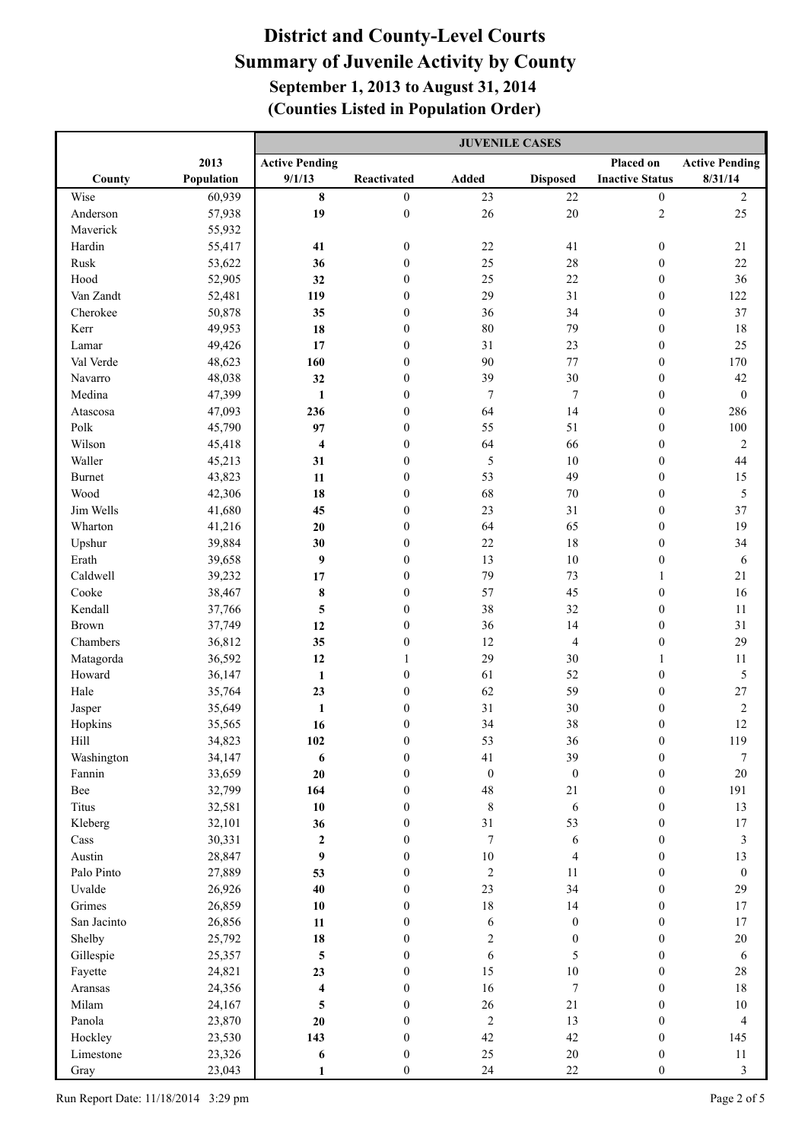|                |                  | <b>JUVENILE CASES</b>           |                                      |                        |                              |                                      |                       |
|----------------|------------------|---------------------------------|--------------------------------------|------------------------|------------------------------|--------------------------------------|-----------------------|
|                | 2013             | <b>Active Pending</b>           |                                      |                        |                              | Placed on                            | <b>Active Pending</b> |
| County         | Population       | 9/1/13                          | Reactivated                          | Added                  | <b>Disposed</b>              | <b>Inactive Status</b>               | 8/31/14               |
| Wise           | 60,939           | 8                               | $\boldsymbol{0}$                     | 23                     | $22\,$                       | $\boldsymbol{0}$                     | $\boldsymbol{2}$      |
| Anderson       | 57,938           | 19                              | $\boldsymbol{0}$                     | 26                     | $20\,$                       | $\mathbf{2}$                         | 25                    |
| Maverick       | 55,932           |                                 |                                      |                        |                              |                                      |                       |
| Hardin         | 55,417           | 41                              | $\boldsymbol{0}$                     | $22\,$                 | 41                           | $\boldsymbol{0}$                     | 21                    |
| Rusk           | 53,622           | 36                              | $\mathbf{0}$                         | 25                     | 28                           | $\boldsymbol{0}$                     | 22                    |
| Hood           | 52,905           | 32                              | $\boldsymbol{0}$                     | 25                     | 22                           | $\boldsymbol{0}$                     | 36                    |
| Van Zandt      | 52,481           | 119                             | $\boldsymbol{0}$                     | 29                     | 31                           | $\boldsymbol{0}$                     | 122                   |
| Cherokee       | 50,878           | 35                              | $\boldsymbol{0}$                     | 36                     | 34                           | $\boldsymbol{0}$                     | 37                    |
| Kerr           | 49,953           | 18                              | $\mathbf{0}$                         | 80                     | 79                           | $\boldsymbol{0}$                     | $18\,$                |
| Lamar          | 49,426           | 17                              | $\mathbf{0}$                         | 31                     | 23                           | $\boldsymbol{0}$                     | 25                    |
| Val Verde      | 48,623           | 160                             | $\mathbf{0}$                         | 90                     | 77                           | $\boldsymbol{0}$                     | 170                   |
| Navarro        | 48,038           | 32                              | $\mathbf{0}$                         | 39                     | 30                           | $\boldsymbol{0}$                     | 42                    |
| Medina         | 47,399           | 1                               | $\mathbf{0}$                         | $\overline{7}$         | $\overline{7}$               | $\boldsymbol{0}$                     | $\boldsymbol{0}$      |
| Atascosa       | 47,093           | 236                             | $\mathbf{0}$                         | 64                     | 14                           | $\boldsymbol{0}$                     | 286                   |
| Polk           | 45,790           | 97                              | $\mathbf{0}$                         | 55                     | 51                           | $\boldsymbol{0}$                     | 100                   |
| Wilson         | 45,418           | $\overline{\mathbf{4}}$         | $\mathbf{0}$                         | 64                     | 66                           | $\boldsymbol{0}$                     | $\sqrt{2}$            |
| Waller         | 45,213           | 31                              | $\boldsymbol{0}$                     | 5                      | 10                           | $\boldsymbol{0}$                     | 44                    |
| <b>Burnet</b>  | 43,823           | 11                              | $\boldsymbol{0}$                     | 53                     | 49                           | $\boldsymbol{0}$                     | 15                    |
| Wood           | 42,306           | 18                              | $\boldsymbol{0}$                     | 68                     | 70                           | $\boldsymbol{0}$                     | 5                     |
| Jim Wells      | 41,680           | 45                              | $\boldsymbol{0}$                     | 23                     | 31                           | $\boldsymbol{0}$                     | 37                    |
| Wharton        | 41,216           | 20                              | $\boldsymbol{0}$                     | 64                     | 65                           | $\boldsymbol{0}$                     | 19                    |
| Upshur         | 39,884           | 30                              | $\mathbf{0}$                         | 22                     | 18                           | $\boldsymbol{0}$                     | 34                    |
| Erath          | 39,658           | 9                               | $\mathbf{0}$                         | 13                     | 10                           | $\boldsymbol{0}$                     | 6                     |
| Caldwell       | 39,232           | 17                              | $\boldsymbol{0}$                     | 79                     | 73                           | $\mathbf{1}$                         | 21                    |
| Cooke          | 38,467           | $\bf 8$                         | $\boldsymbol{0}$                     | 57                     | 45                           | $\boldsymbol{0}$                     | 16                    |
| Kendall        | 37,766           | $\overline{\mathbf{5}}$         | $\boldsymbol{0}$                     | 38                     | 32                           | $\boldsymbol{0}$                     | 11                    |
| <b>Brown</b>   | 37,749           | 12                              | $\boldsymbol{0}$                     | 36                     | 14                           | $\boldsymbol{0}$                     | 31                    |
| Chambers       | 36,812           | 35                              | $\boldsymbol{0}$                     | 12                     | 4                            | $\boldsymbol{0}$                     | 29                    |
| Matagorda      | 36,592           | 12                              | 1                                    | 29                     | 30                           | $\mathbf{1}$                         | 11                    |
| Howard         | 36,147           | $\mathbf{1}$                    | $\boldsymbol{0}$                     | 61                     | 52                           | $\boldsymbol{0}$                     | $\sqrt{5}$            |
| Hale           | 35,764           | 23                              | $\boldsymbol{0}$                     | 62                     | 59                           | $\boldsymbol{0}$                     | $27\,$                |
| Jasper         | 35,649           | $\mathbf{1}$                    | $\boldsymbol{0}$                     | 31                     | 30                           | $\boldsymbol{0}$                     | $\sqrt{2}$            |
| Hopkins        | 35,565           | 16                              | $\boldsymbol{0}$                     | 34                     | 38                           | $\boldsymbol{0}$                     | 12                    |
| Hill           | 34,823           | 102                             | $\boldsymbol{0}$                     | 53                     | 36                           | $\boldsymbol{0}$                     | 119                   |
| Washington     | 34,147           | 6                               | $\boldsymbol{0}$                     | 41                     | 39                           | $\boldsymbol{0}$                     | $\boldsymbol{7}$      |
| Fannin         | 33,659           | 20                              | $\boldsymbol{0}$                     | $\boldsymbol{0}$       | $\boldsymbol{0}$             | $\boldsymbol{0}$                     | 20                    |
| Bee            | 32,799           | 164                             | $\boldsymbol{0}$                     | 48                     | $21\,$                       | $\boldsymbol{0}$                     | 191                   |
| Titus          | 32,581           | 10                              | $\boldsymbol{0}$                     | $\,$ 8 $\,$            | $\sqrt{6}$                   | $\boldsymbol{0}$                     | 13                    |
| Kleberg        | 32,101           | 36                              | $\boldsymbol{0}$                     | 31<br>$\boldsymbol{7}$ | 53                           | $\boldsymbol{0}$                     | $17\,$                |
| Cass<br>Austin | 30,331<br>28,847 | $\mathbf 2$<br>$\boldsymbol{9}$ | $\boldsymbol{0}$<br>$\boldsymbol{0}$ | $10\,$                 | $\sqrt{6}$<br>$\overline{4}$ | $\boldsymbol{0}$<br>$\boldsymbol{0}$ | $\mathfrak{Z}$<br>13  |
| Palo Pinto     | 27,889           | 53                              | $\boldsymbol{0}$                     | $\sqrt{2}$             | 11                           | $\boldsymbol{0}$                     | $\boldsymbol{0}$      |
| Uvalde         | 26,926           | 40                              | $\boldsymbol{0}$                     | 23                     | 34                           | $\boldsymbol{0}$                     | 29                    |
| Grimes         | 26,859           | 10                              | $\mathbf{0}$                         | 18                     | 14                           | $\boldsymbol{0}$                     | $17\,$                |
| San Jacinto    | 26,856           | $11\,$                          | $\mathbf{0}$                         | 6                      | $\boldsymbol{0}$             | $\boldsymbol{0}$                     | $17\,$                |
| Shelby         | 25,792           | 18                              | $\mathbf{0}$                         | $\boldsymbol{2}$       | $\boldsymbol{0}$             | $\boldsymbol{0}$                     | $20\,$                |
| Gillespie      | 25,357           | 5                               | $\mathbf{0}$                         | $\sqrt{6}$             | 5                            | $\boldsymbol{0}$                     | $\sqrt{6}$            |
| Fayette        | 24,821           | 23                              | $\mathbf{0}$                         | 15                     | $10\,$                       | $\boldsymbol{0}$                     | $28\,$                |
| Aransas        | 24,356           | $\overline{\mathbf{4}}$         | $\boldsymbol{0}$                     | 16                     | $\overline{7}$               | $\boldsymbol{0}$                     | $18\,$                |
| Milam          | 24,167           | $\overline{\mathbf{5}}$         | $\mathbf{0}$                         | 26                     | $21\,$                       | $\boldsymbol{0}$                     | $10\,$                |
| Panola         | 23,870           | 20                              | $\mathbf{0}$                         | $\sqrt{2}$             | 13                           | $\boldsymbol{0}$                     | $\overline{4}$        |
| Hockley        | 23,530           | 143                             | $\boldsymbol{0}$                     | 42                     | 42                           | $\boldsymbol{0}$                     | 145                   |
| Limestone      | 23,326           | 6                               | $\boldsymbol{0}$                     | 25                     | $20\,$                       | $\boldsymbol{0}$                     | $11\,$                |
| Gray           | 23,043           | 1                               | $\boldsymbol{0}$                     | 24                     | $22\,$                       | $\boldsymbol{0}$                     | $\mathfrak{Z}$        |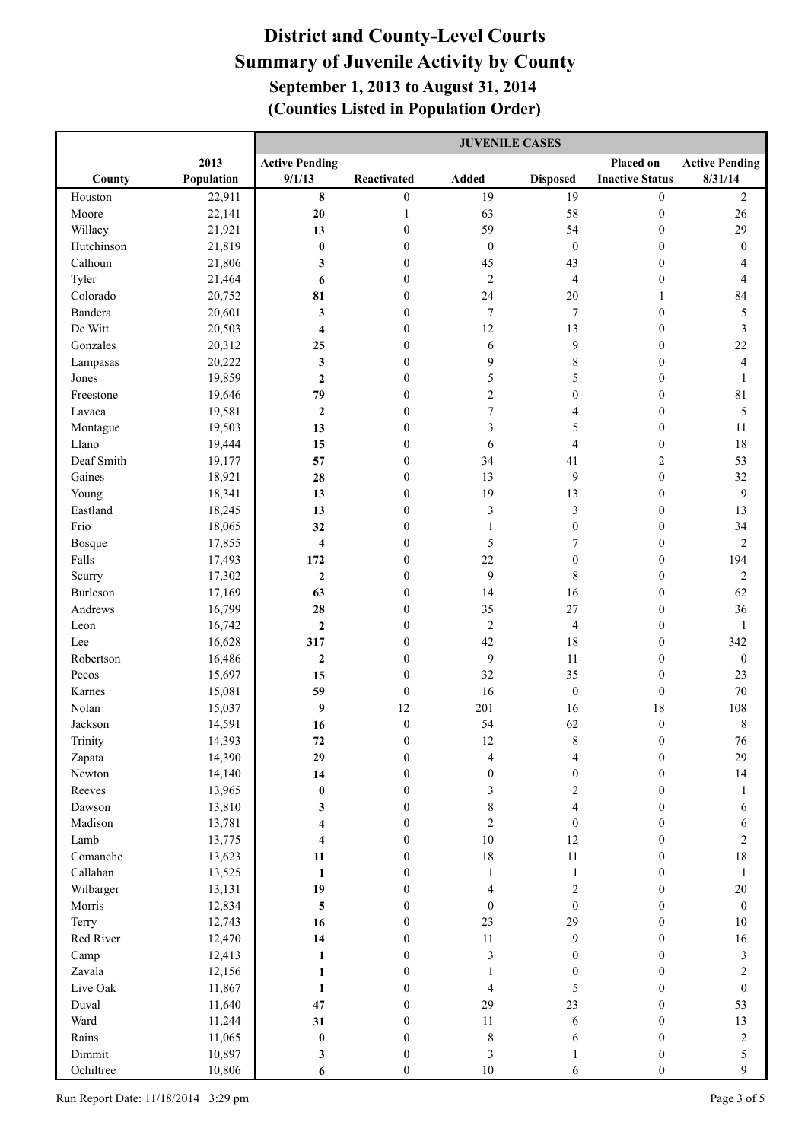|                  |                  | <b>JUVENILE CASES</b>   |                                      |                                    |                                    |                                      |                       |
|------------------|------------------|-------------------------|--------------------------------------|------------------------------------|------------------------------------|--------------------------------------|-----------------------|
|                  | 2013             | <b>Active Pending</b>   |                                      |                                    |                                    | Placed on                            | <b>Active Pending</b> |
| County           | Population       | 9/1/13                  | Reactivated                          | <b>Added</b>                       | <b>Disposed</b>                    | <b>Inactive Status</b>               | 8/31/14               |
| Houston          | 22,911           | $\pmb{8}$               | $\boldsymbol{0}$                     | 19                                 | 19                                 | $\boldsymbol{0}$                     | $\sqrt{2}$            |
| Moore            | 22,141           | 20                      | $\mathbf{1}$                         | 63                                 | 58                                 | $\boldsymbol{0}$                     | 26                    |
| Willacy          | 21,921           | 13                      | $\boldsymbol{0}$                     | 59                                 | 54                                 | $\boldsymbol{0}$                     | 29                    |
| Hutchinson       | 21,819           | $\bf{0}$                | $\mathbf{0}$                         | $\boldsymbol{0}$                   | $\boldsymbol{0}$                   | $\boldsymbol{0}$                     | $\boldsymbol{0}$      |
| Calhoun          | 21,806           | 3                       | $\mathbf{0}$                         | 45                                 | 43                                 | $\boldsymbol{0}$                     | 4                     |
| Tyler            | 21,464           | 6                       | $\mathbf{0}$                         | $\overline{2}$                     | 4                                  | $\boldsymbol{0}$                     | 4                     |
| Colorado         | 20,752           | 81                      | $\boldsymbol{0}$                     | 24                                 | 20                                 | $\mathbf{1}$                         | 84                    |
| Bandera          | 20,601           | 3                       | $\mathbf{0}$                         | $\overline{7}$                     | 7                                  | $\boldsymbol{0}$                     | $\sqrt{5}$            |
| De Witt          | 20,503           | $\overline{\bf 4}$      | $\boldsymbol{0}$                     | 12                                 | 13                                 | $\boldsymbol{0}$                     | 3                     |
| Gonzales         | 20,312           | 25                      | $\mathbf{0}$                         | 6                                  | 9                                  | $\boldsymbol{0}$                     | 22                    |
| Lampasas         | 20,222           | 3                       | $\mathbf{0}$                         | 9                                  | 8                                  | $\boldsymbol{0}$                     | 4                     |
| Jones            | 19,859           | $\mathbf{2}$            | $\mathbf{0}$                         | 5                                  | 5                                  | $\boldsymbol{0}$                     | $\mathbf{1}$          |
| Freestone        | 19,646           | 79                      | $\mathbf{0}$                         | $\sqrt{2}$                         | $\boldsymbol{0}$                   | $\boldsymbol{0}$                     | $8\sqrt{1}$           |
| Lavaca           | 19,581           | $\overline{\mathbf{c}}$ | $\mathbf{0}$                         | $\boldsymbol{7}$                   | 4                                  | $\boldsymbol{0}$                     | 5                     |
| Montague         | 19,503           | 13                      | $\mathbf{0}$                         | 3                                  | 5                                  | $\boldsymbol{0}$                     | 11                    |
| Llano            | 19,444           | 15                      | $\mathbf{0}$                         | 6                                  | 4                                  | $\boldsymbol{0}$                     | 18                    |
| Deaf Smith       | 19,177           | 57                      | $\mathbf{0}$                         | 34                                 | 41                                 | $\sqrt{2}$                           | 53                    |
| Gaines           | 18,921           | 28                      | $\mathbf{0}$                         | 13                                 | 9                                  | $\boldsymbol{0}$                     | 32                    |
| Young            | 18,341           | 13                      | $\boldsymbol{0}$                     | 19                                 | 13                                 | $\boldsymbol{0}$                     | $\mathbf{9}$          |
| Eastland         | 18,245           | 13                      | $\boldsymbol{0}$                     | $\mathfrak{Z}$                     | 3                                  | $\boldsymbol{0}$                     | 13                    |
| Frio             | 18,065           | 32                      | $\boldsymbol{0}$                     | 1                                  | $\boldsymbol{0}$                   | $\boldsymbol{0}$                     | 34                    |
| Bosque           | 17,855           | $\overline{\bf 4}$      | $\boldsymbol{0}$                     | 5                                  | 7                                  | $\boldsymbol{0}$                     | $\boldsymbol{2}$      |
| Falls            | 17,493           | 172                     | $\boldsymbol{0}$                     | 22                                 | $\boldsymbol{0}$                   | $\boldsymbol{0}$                     | 194                   |
| Scurry           | 17,302           | $\mathbf 2$             | $\boldsymbol{0}$                     | 9                                  | $\,$ 8 $\,$                        | $\boldsymbol{0}$                     | $\sqrt{2}$            |
| Burleson         | 17,169           | 63                      | $\boldsymbol{0}$                     | 14                                 | 16                                 | $\boldsymbol{0}$                     | 62                    |
| Andrews          | 16,799           | 28                      | $\boldsymbol{0}$                     | 35                                 | 27                                 | $\boldsymbol{0}$                     | 36                    |
| Leon             | 16,742           | $\boldsymbol{2}$        | $\boldsymbol{0}$                     | $\sqrt{2}$                         | 4                                  | $\boldsymbol{0}$                     | $\mathbf{1}$          |
| Lee              | 16,628           | 317                     | $\boldsymbol{0}$                     | 42                                 | 18                                 | $\boldsymbol{0}$                     | 342                   |
| Robertson        | 16,486           | $\boldsymbol{2}$        | $\boldsymbol{0}$                     | 9                                  | 11                                 | $\boldsymbol{0}$                     | $\boldsymbol{0}$      |
| Pecos            | 15,697           | 15                      | $\boldsymbol{0}$                     | 32                                 | 35                                 | $\boldsymbol{0}$                     | 23                    |
| Karnes           | 15,081           | 59                      | $\boldsymbol{0}$                     | 16                                 | $\boldsymbol{0}$                   | $\boldsymbol{0}$                     | 70                    |
| Nolan            | 15,037           | 9                       | 12                                   | 201<br>54                          | 16                                 | 18                                   | $108\,$               |
| Jackson          | 14,591           | 16                      | $\boldsymbol{0}$                     |                                    | 62                                 | $\boldsymbol{0}$                     | $\,8\,$               |
| Trinity          | 14,393           | ${\bf 72}$              | $\boldsymbol{0}$                     | 12                                 | $\,$ $\,$<br>4                     | $\boldsymbol{0}$                     | 76                    |
| Zapata<br>Newton | 14,390           | 29<br>14                | $\boldsymbol{0}$                     | $\overline{\mathbf{4}}$            |                                    | $\boldsymbol{0}$                     | 29<br>14              |
| Reeves           | 14,140<br>13,965 | $\pmb{0}$               | $\boldsymbol{0}$<br>$\boldsymbol{0}$ | $\boldsymbol{0}$<br>$\mathfrak{Z}$ | $\boldsymbol{0}$<br>$\overline{c}$ | $\boldsymbol{0}$                     |                       |
| Dawson           | 13,810           |                         | $\boldsymbol{0}$                     | $\,$ 8 $\,$                        | 4                                  | $\boldsymbol{0}$<br>$\boldsymbol{0}$ | $\mathbf{1}$<br>6     |
| Madison          | 13,781           | 3<br>4                  | $\boldsymbol{0}$                     | $\overline{c}$                     | $\boldsymbol{0}$                   | $\boldsymbol{0}$                     | 6                     |
| Lamb             | 13,775           | 4                       | $\boldsymbol{0}$                     | $10\,$                             | 12                                 | $\boldsymbol{0}$                     | $\boldsymbol{2}$      |
| Comanche         | 13,623           | 11                      | $\boldsymbol{0}$                     | 18                                 | $11\,$                             | $\boldsymbol{0}$                     | 18                    |
| Callahan         | 13,525           | $\mathbf{1}$            | $\boldsymbol{0}$                     | $\mathbf{1}$                       | $\mathbf{1}$                       | $\boldsymbol{0}$                     | $\mathbf{1}$          |
| Wilbarger        | 13,131           | 19                      | $\boldsymbol{0}$                     | $\overline{4}$                     | $\overline{2}$                     | $\boldsymbol{0}$                     | $20\,$                |
| Morris           | 12,834           | $\sqrt{5}$              | $\boldsymbol{0}$                     | $\boldsymbol{0}$                   | $\boldsymbol{0}$                   | $\boldsymbol{0}$                     | $\boldsymbol{0}$      |
| Terry            | 12,743           | 16                      | $\boldsymbol{0}$                     | 23                                 | 29                                 | $\boldsymbol{0}$                     | $10\,$                |
| Red River        | 12,470           | 14                      | $\mathbf{0}$                         | $11\,$                             | 9                                  | $\boldsymbol{0}$                     | 16                    |
| Camp             | 12,413           | $\mathbf{1}$            | $\mathbf{0}$                         | $\mathfrak{Z}$                     | $\mathbf{0}$                       | $\boldsymbol{0}$                     | $\mathfrak{Z}$        |
| Zavala           | 12,156           | 1                       | $\mathbf{0}$                         | 1                                  | $\mathbf{0}$                       | $\boldsymbol{0}$                     | $\boldsymbol{2}$      |
| Live Oak         | 11,867           | $\mathbf{1}$            | $\mathbf{0}$                         | $\overline{4}$                     | 5                                  | $\boldsymbol{0}$                     | $\boldsymbol{0}$      |
| Duval            | 11,640           | 47                      | $\mathbf{0}$                         | 29                                 | 23                                 | $\boldsymbol{0}$                     | 53                    |
| Ward             | 11,244           | 31                      | $\boldsymbol{0}$                     | $11\,$                             | 6                                  | $\boldsymbol{0}$                     | 13                    |
| Rains            | 11,065           | $\pmb{0}$               | $\boldsymbol{0}$                     | $\,$ 8 $\,$                        | 6                                  | $\boldsymbol{0}$                     | $\sqrt{2}$            |
| Dimmit           | 10,897           | 3                       | $\boldsymbol{0}$                     | $\mathfrak{Z}$                     | 1                                  | $\boldsymbol{0}$                     | 5                     |
| Ochiltree        | 10,806           | 6                       | $\boldsymbol{0}$                     | $10\,$                             | 6                                  | $\boldsymbol{0}$                     | 9                     |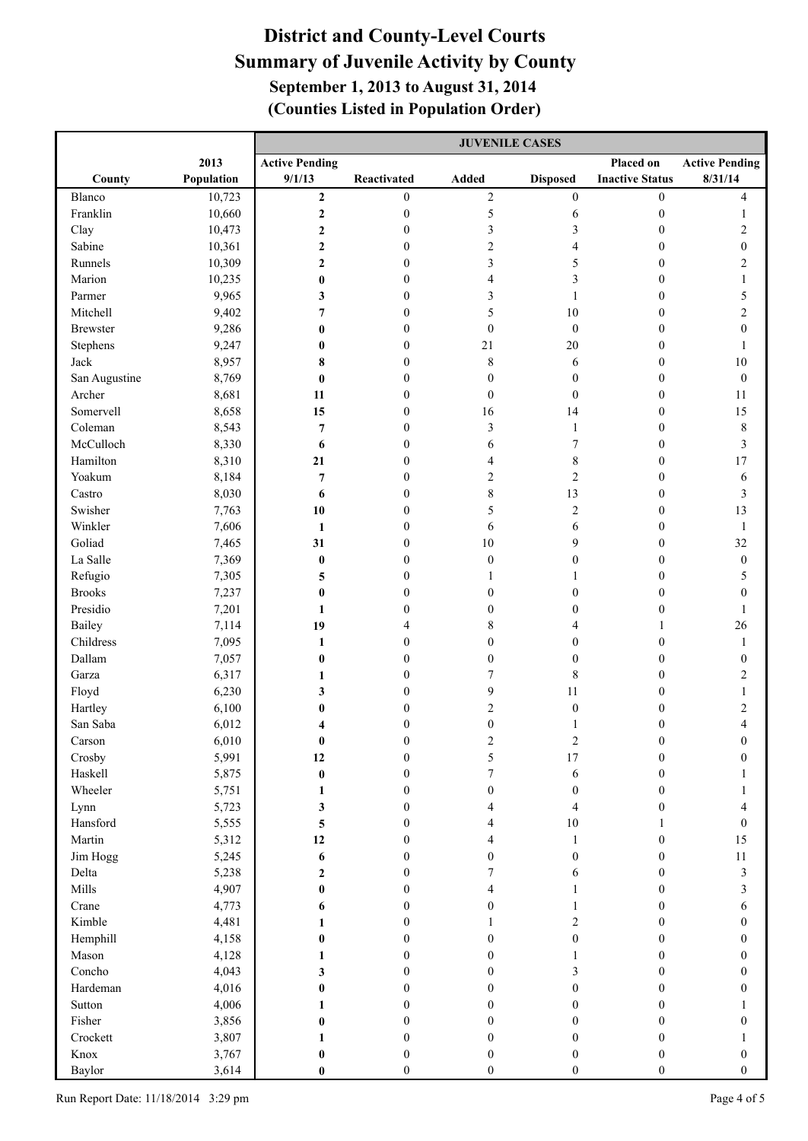|                 |                | <b>JUVENILE CASES</b> |                                  |                  |                  |                                      |                         |
|-----------------|----------------|-----------------------|----------------------------------|------------------|------------------|--------------------------------------|-------------------------|
|                 | 2013           | <b>Active Pending</b> |                                  |                  |                  | Placed on                            | <b>Active Pending</b>   |
| County          | Population     | 9/1/13                | Reactivated                      | <b>Added</b>     | <b>Disposed</b>  | <b>Inactive Status</b>               | 8/31/14                 |
| Blanco          | 10,723         | $\mathbf{2}$          | $\boldsymbol{0}$                 | $\sqrt{2}$       | $\boldsymbol{0}$ | $\boldsymbol{0}$                     | 4                       |
| Franklin        | 10,660         | $\mathbf 2$           | $\boldsymbol{0}$                 | 5                | 6                | $\boldsymbol{0}$                     | 1                       |
| Clay            | 10,473         | $\mathbf 2$           | $\mathbf{0}$                     | $\mathfrak{Z}$   | 3                | $\boldsymbol{0}$                     | 2                       |
| Sabine          | 10,361         | $\boldsymbol{2}$      | $\mathbf{0}$                     | $\mathbf{2}$     | 4                | $\mathbf{0}$                         | $\boldsymbol{0}$        |
| Runnels         | 10,309         | $\boldsymbol{2}$      | $\mathbf{0}$                     | 3                | 5                | $\mathbf{0}$                         | 2                       |
| Marion          | 10,235         | $\bf{0}$              | $\theta$                         | 4                | 3                | $\mathbf{0}$                         | 1                       |
| Parmer          | 9,965          | 3                     | $\boldsymbol{0}$                 | 3                | 1                | $\mathbf{0}$                         | 5                       |
| Mitchell        | 9,402          | 7                     | $\mathbf{0}$                     | 5                | 10               | $\boldsymbol{0}$                     | $\overline{c}$          |
| <b>Brewster</b> | 9,286          | $\bf{0}$              | $\mathbf{0}$                     | $\boldsymbol{0}$ | $\mathbf{0}$     | $\boldsymbol{0}$                     | $\boldsymbol{0}$        |
| Stephens        | 9,247          | $\bf{0}$              | $\mathbf{0}$                     | 21               | 20               | $\boldsymbol{0}$                     | 1                       |
| Jack            | 8,957          | 8                     | $\mathbf{0}$                     | 8                | 6                | $\boldsymbol{0}$                     | $10\,$                  |
| San Augustine   | 8,769          | $\bf{0}$              | $\boldsymbol{0}$                 | $\mathbf{0}$     | $\mathbf{0}$     | $\boldsymbol{0}$                     | $\boldsymbol{0}$        |
| Archer          | 8,681          | 11                    | $\boldsymbol{0}$                 | $\mathbf{0}$     | $\mathbf{0}$     | $\boldsymbol{0}$                     | 11                      |
| Somervell       | 8,658          | 15                    | $\boldsymbol{0}$                 | 16               | 14               | $\boldsymbol{0}$                     | 15                      |
| Coleman         | 8,543          | $\overline{7}$        | $\boldsymbol{0}$                 | 3                | 1                | $\boldsymbol{0}$                     | $\,$ 8 $\,$             |
| McCulloch       | 8,330          | 6                     | $\boldsymbol{0}$                 | 6                | 7                | $\boldsymbol{0}$                     | 3                       |
| Hamilton        | 8,310          | 21                    | $\boldsymbol{0}$                 | 4                | 8                | $\boldsymbol{0}$                     | 17                      |
| Yoakum          | 8,184          | $\overline{7}$        | $\boldsymbol{0}$                 | $\overline{c}$   | $\overline{c}$   | $\boldsymbol{0}$                     | 6                       |
| Castro          | 8,030          | 6                     | $\boldsymbol{0}$                 | 8                | 13               | $\boldsymbol{0}$                     | 3                       |
| Swisher         | 7,763          | 10                    | $\boldsymbol{0}$                 | 5                | $\overline{c}$   | $\boldsymbol{0}$                     | 13                      |
| Winkler         | 7,606          | 1                     | $\mathbf{0}$                     | 6                | 6                | $\boldsymbol{0}$                     | $\mathbf{1}$            |
| Goliad          | 7,465          | 31                    | $\mathbf{0}$                     | $10\,$           | 9                | $\boldsymbol{0}$                     | 32                      |
| La Salle        | 7,369          | $\bf{0}$              | $\mathbf{0}$                     | $\boldsymbol{0}$ | $\mathbf{0}$     | $\boldsymbol{0}$                     | $\boldsymbol{0}$        |
| Refugio         | 7,305          | 5                     | $\boldsymbol{0}$                 | 1                | 1                | $\boldsymbol{0}$                     | 5                       |
| <b>Brooks</b>   | 7,237          | $\bf{0}$              | $\boldsymbol{0}$                 | $\boldsymbol{0}$ | $\mathbf{0}$     | $\boldsymbol{0}$                     | $\mathbf{0}$            |
| Presidio        | 7,201          | 1                     | $\boldsymbol{0}$                 | $\boldsymbol{0}$ | $\mathbf{0}$     | $\boldsymbol{0}$                     | 1                       |
| Bailey          | 7,114          | 19                    | 4                                | 8                | 4                | $\mathbf{1}$                         | 26                      |
| Childress       | 7,095          | 1                     | $\boldsymbol{0}$                 | $\boldsymbol{0}$ | $\mathbf{0}$     | $\boldsymbol{0}$                     | $\mathbf{1}$            |
| Dallam          | 7,057          | $\bf{0}$              | $\boldsymbol{0}$<br>$\mathbf{0}$ | $\boldsymbol{0}$ | $\boldsymbol{0}$ | $\boldsymbol{0}$                     | $\boldsymbol{0}$        |
| Garza<br>Floyd  | 6,317<br>6,230 | 1<br>3                | $\boldsymbol{0}$                 | 7<br>9           | 8<br>11          | $\boldsymbol{0}$                     | $\overline{c}$          |
| Hartley         | 6,100          | $\bf{0}$              | $\boldsymbol{0}$                 | $\sqrt{2}$       | $\boldsymbol{0}$ | $\boldsymbol{0}$<br>$\boldsymbol{0}$ | $\overline{\mathbf{c}}$ |
| San Saba        | 6,012          | 4                     | $\boldsymbol{0}$                 | $\boldsymbol{0}$ | 1                | $\boldsymbol{0}$                     | 4                       |
| Carson          | 6,010          | $\bf{0}$              | 0                                | 2                | 2                | $\mathbf{0}$                         |                         |
| Crosby          | 5,991          | 12                    | $\boldsymbol{0}$                 | 5                | 17               | $\boldsymbol{0}$                     | $\boldsymbol{0}$        |
| Haskell         | 5,875          | $\bf{0}$              | $\boldsymbol{0}$                 | $\overline{7}$   | 6                | $\boldsymbol{0}$                     |                         |
| Wheeler         | 5,751          | 1                     | $\boldsymbol{0}$                 | $\mathbf{0}$     | $\boldsymbol{0}$ | $\boldsymbol{0}$                     |                         |
| Lynn            | 5,723          | 3                     | $\boldsymbol{0}$                 | 4                | 4                | $\boldsymbol{0}$                     | 4                       |
| Hansford        | 5,555          | 5                     | $\boldsymbol{0}$                 | $\overline{4}$   | 10               | 1                                    | $\boldsymbol{0}$        |
| Martin          | 5,312          | 12                    | $\boldsymbol{0}$                 | 4                | $\mathbf{1}$     | $\boldsymbol{0}$                     | 15                      |
| Jim Hogg        | 5,245          | 6                     | $\boldsymbol{0}$                 | $\mathbf{0}$     | $\mathbf{0}$     | $\boldsymbol{0}$                     | $11\,$                  |
| Delta           | 5,238          | $\boldsymbol{2}$      | $\overline{0}$                   | 7                | 6                | $\boldsymbol{0}$                     | $\overline{\mathbf{3}}$ |
| Mills           | 4,907          | $\bf{0}$              | $\overline{0}$                   | 4                | 1                | $\boldsymbol{0}$                     | 3                       |
| Crane           | 4,773          | 6                     | $\mathbf{0}$                     | $\mathbf{0}$     | 1                | $\mathbf{0}$                         | 6                       |
| Kimble          | 4,481          | 1                     | $\mathbf{0}$                     | 1                | $\overline{c}$   | $\mathbf{0}$                         | $\mathbf{0}$            |
| Hemphill        | 4,158          | $\bf{0}$              | $\mathbf{0}$                     | $\mathbf{0}$     | $\boldsymbol{0}$ | $\mathbf{0}$                         | $\boldsymbol{0}$        |
| Mason           | 4,128          | 1                     | $\mathbf{0}$                     | $\mathbf{0}$     | 1                | $\mathbf{0}$                         | $\boldsymbol{0}$        |
| Concho          | 4,043          | 3                     | $\mathbf{0}$                     | $\mathbf{0}$     | 3                | $\mathbf{0}$                         | $\boldsymbol{0}$        |
| Hardeman        | 4,016          | $\bf{0}$              | $\mathbf{0}$                     | $\overline{0}$   | $\mathbf{0}$     | $\mathbf{0}$                         | $\boldsymbol{0}$        |
| Sutton          | 4,006          | 1                     | $\mathbf{0}$                     | $\mathbf{0}$     | $\theta$         | $\mathbf{0}$                         |                         |
| Fisher          | 3,856          | $\bf{0}$              | $\mathbf{0}$                     | $\overline{0}$   | $\boldsymbol{0}$ | $\boldsymbol{0}$                     | $\boldsymbol{0}$        |
| Crockett        | 3,807          | 1                     | $\mathbf{0}$                     | $\mathbf{0}$     | $\mathbf{0}$     | $\boldsymbol{0}$                     |                         |
| Knox            | 3,767          | $\bf{0}$              | $\boldsymbol{0}$                 | $\mathbf{0}$     | $\boldsymbol{0}$ | $\boldsymbol{0}$                     | $\boldsymbol{0}$        |
| Baylor          | 3,614          | $\bf{0}$              | $\boldsymbol{0}$                 | $\boldsymbol{0}$ | $\boldsymbol{0}$ | $\boldsymbol{0}$                     | $\boldsymbol{0}$        |